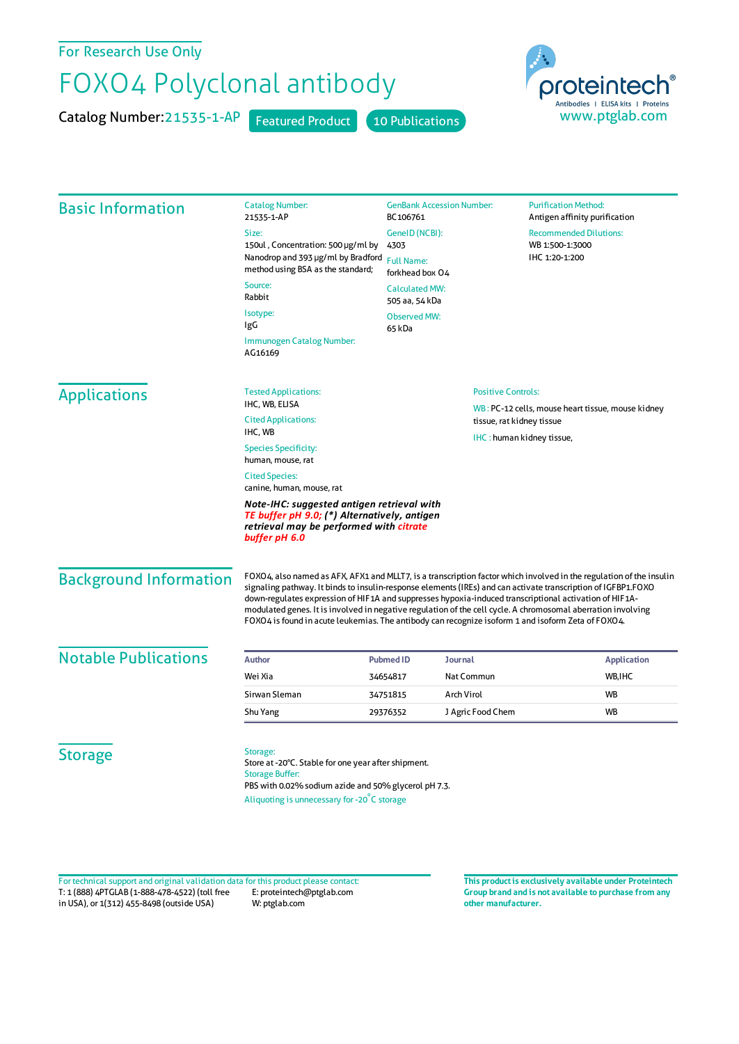## For Research Use Only

## FOXO4 Polyclonal antibody

Catalog Number: 21535-1-AP Featured Product 10 Publications



| <b>Basic Information</b>      | <b>Catalog Number:</b><br>21535-1-AP                                                                                                                                                                                                                                                                                                                                                                                                                                                                                                                                 | <b>GenBank Accession Number:</b><br>BC106761<br>GeneID (NCBI):<br>4303<br><b>Full Name:</b><br>forkhead box 04<br><b>Calculated MW:</b><br>505 aa, 54 kDa<br><b>Observed MW:</b><br>65 kDa |                           | <b>Purification Method:</b><br>Antigen affinity purification       |  |
|-------------------------------|----------------------------------------------------------------------------------------------------------------------------------------------------------------------------------------------------------------------------------------------------------------------------------------------------------------------------------------------------------------------------------------------------------------------------------------------------------------------------------------------------------------------------------------------------------------------|--------------------------------------------------------------------------------------------------------------------------------------------------------------------------------------------|---------------------------|--------------------------------------------------------------------|--|
|                               | Size:                                                                                                                                                                                                                                                                                                                                                                                                                                                                                                                                                                |                                                                                                                                                                                            |                           | <b>Recommended Dilutions:</b><br>WB 1:500-1:3000<br>IHC 1:20-1:200 |  |
|                               | 150ul, Concentration: 500 µg/ml by                                                                                                                                                                                                                                                                                                                                                                                                                                                                                                                                   |                                                                                                                                                                                            |                           |                                                                    |  |
|                               | Nanodrop and 393 µg/ml by Bradford<br>method using BSA as the standard;                                                                                                                                                                                                                                                                                                                                                                                                                                                                                              |                                                                                                                                                                                            |                           |                                                                    |  |
|                               | Source:<br>Rabbit                                                                                                                                                                                                                                                                                                                                                                                                                                                                                                                                                    |                                                                                                                                                                                            |                           |                                                                    |  |
|                               | Isotype:<br>IgG                                                                                                                                                                                                                                                                                                                                                                                                                                                                                                                                                      |                                                                                                                                                                                            |                           |                                                                    |  |
|                               | Immunogen Catalog Number:<br>AG16169                                                                                                                                                                                                                                                                                                                                                                                                                                                                                                                                 |                                                                                                                                                                                            |                           |                                                                    |  |
| <b>Applications</b>           | <b>Tested Applications:</b>                                                                                                                                                                                                                                                                                                                                                                                                                                                                                                                                          | <b>Positive Controls:</b>                                                                                                                                                                  |                           |                                                                    |  |
|                               | IHC, WB, ELISA                                                                                                                                                                                                                                                                                                                                                                                                                                                                                                                                                       |                                                                                                                                                                                            |                           | WB: PC-12 cells, mouse heart tissue, mouse kidney                  |  |
|                               | <b>Cited Applications:</b><br>IHC, WB                                                                                                                                                                                                                                                                                                                                                                                                                                                                                                                                |                                                                                                                                                                                            | tissue, rat kidney tissue |                                                                    |  |
|                               | <b>Species Specificity:</b><br>human, mouse, rat                                                                                                                                                                                                                                                                                                                                                                                                                                                                                                                     | IHC: human kidney tissue,                                                                                                                                                                  |                           |                                                                    |  |
|                               | <b>Cited Species:</b><br>canine, human, mouse, rat                                                                                                                                                                                                                                                                                                                                                                                                                                                                                                                   |                                                                                                                                                                                            |                           |                                                                    |  |
|                               | Note-IHC: suggested antigen retrieval with<br>TE buffer pH 9.0; (*) Alternatively, antigen<br>retrieval may be performed with <mark>citrate</mark><br>buffer pH 6.0                                                                                                                                                                                                                                                                                                                                                                                                  |                                                                                                                                                                                            |                           |                                                                    |  |
| <b>Background Information</b> | FOXO4, also named as AFX, AFX1 and MLLT7, is a transcription factor which involved in the regulation of the insulin<br>signaling pathway. It binds to insulin-response elements (IREs) and can activate transcription of IGFBP1.FOXO<br>down-regulates expression of HIF1A and suppresses hypoxia-induced transcriptional activation of HIF1A-<br>modulated genes. It is involved in negative regulation of the cell cycle. A chromosomal aberration involving<br>FOXO4 is found in acute leukemias. The antibody can recognize isoform 1 and isoform Zeta of FOXO4. |                                                                                                                                                                                            |                           |                                                                    |  |
| <b>Notable Publications</b>   | Author                                                                                                                                                                                                                                                                                                                                                                                                                                                                                                                                                               | <b>Pubmed ID</b><br>Journal                                                                                                                                                                |                           | <b>Application</b>                                                 |  |
|                               | Wei Xia                                                                                                                                                                                                                                                                                                                                                                                                                                                                                                                                                              | 34654817                                                                                                                                                                                   | Nat Commun                | WB, IHC                                                            |  |
|                               | Sirwan Sleman                                                                                                                                                                                                                                                                                                                                                                                                                                                                                                                                                        | Arch Virol<br>34751815                                                                                                                                                                     |                           | WB                                                                 |  |
|                               | Shu Yang                                                                                                                                                                                                                                                                                                                                                                                                                                                                                                                                                             | 29376352                                                                                                                                                                                   | J Agric Food Chem         | WB                                                                 |  |
| <b>Storage</b>                | Storage:<br>Store at -20°C. Stable for one year after shipment.<br><b>Storage Buffer:</b><br>PBS with 0.02% sodium azide and 50% glycerol pH 7.3.<br>Aliquoting is unnecessary for -20°C storage                                                                                                                                                                                                                                                                                                                                                                     |                                                                                                                                                                                            |                           |                                                                    |  |

T: 1 (888) 4PTGLAB (1-888-478-4522) (toll free in USA), or 1(312) 455-8498 (outside USA) E: proteintech@ptglab.com W: ptglab.com Fortechnical support and original validation data forthis product please contact: **This productis exclusively available under Proteintech**

**Group brand and is not available to purchase from any other manufacturer.**